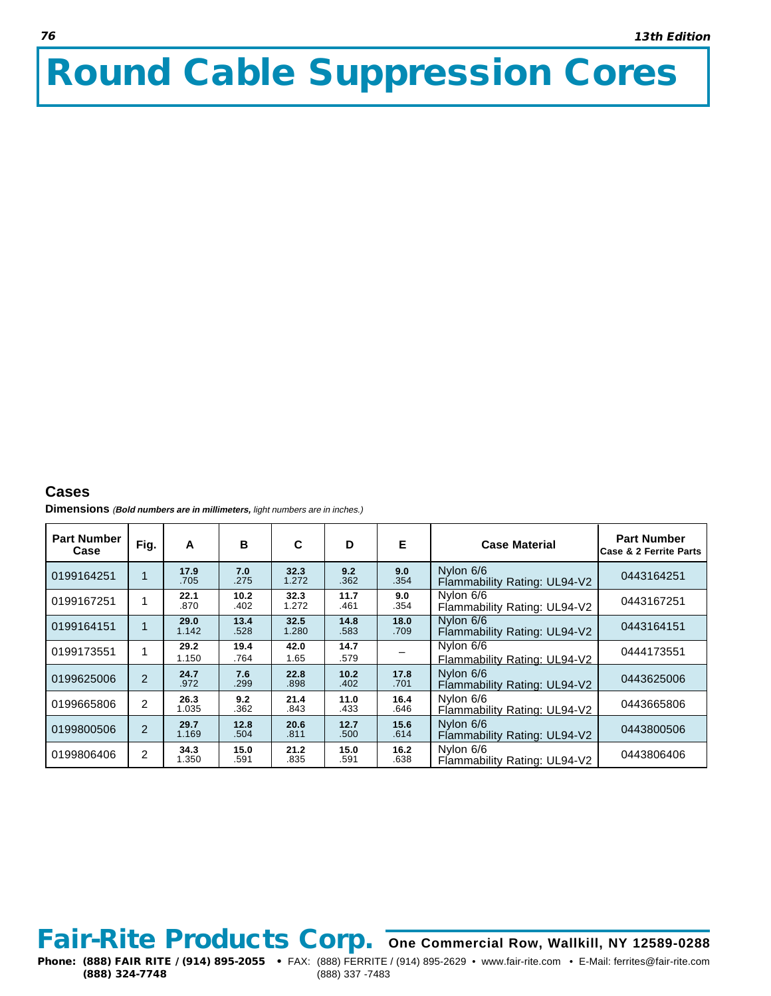## **Round Cable Suppression Cores**

## **Cases**

**Dimensions** (**Bold numbers are in millimeters,** light numbers are in inches.)

| <b>Part Number</b><br>Case | Fig.                    | A             | в            | C             | D            | Е            | <b>Case Material</b>                      | <b>Part Number</b><br><b>Case &amp; 2 Ferrite Parts</b> |
|----------------------------|-------------------------|---------------|--------------|---------------|--------------|--------------|-------------------------------------------|---------------------------------------------------------|
| 0199164251                 |                         | 17.9<br>.705  | 7.0<br>.275  | 32.3<br>1.272 | 9.2<br>.362  | 9.0<br>.354  | Nylon 6/6<br>Flammability Rating: UL94-V2 | 0443164251                                              |
| 0199167251                 |                         | 22.1<br>.870  | 10.2<br>.402 | 32.3<br>1.272 | 11.7<br>.461 | 9.0<br>.354  | Nylon 6/6<br>Flammability Rating: UL94-V2 | 0443167251                                              |
| 0199164151                 | $\overline{\mathbf{A}}$ | 29.0<br>1.142 | 13.4<br>.528 | 32.5<br>1.280 | 14.8<br>.583 | 18.0<br>.709 | Nylon 6/6<br>Flammability Rating: UL94-V2 | 0443164151                                              |
| 0199173551                 |                         | 29.2<br>1.150 | 19.4<br>.764 | 42.0<br>1.65  | 14.7<br>.579 |              | Nylon 6/6<br>Flammability Rating: UL94-V2 | 0444173551                                              |
| 0199625006                 | $\overline{2}$          | 24.7<br>.972  | 7.6<br>.299  | 22.8<br>.898  | 10.2<br>.402 | 17.8<br>.701 | Nylon 6/6<br>Flammability Rating: UL94-V2 | 0443625006                                              |
| 0199665806                 | 2                       | 26.3<br>1.035 | 9.2<br>.362  | 21.4<br>.843  | 11.0<br>.433 | 16.4<br>.646 | Nylon 6/6<br>Flammability Rating: UL94-V2 | 0443665806                                              |
| 0199800506                 | $\overline{2}$          | 29.7<br>1.169 | 12.8<br>.504 | 20.6<br>.811  | 12.7<br>.500 | 15.6<br>.614 | Nylon 6/6<br>Flammability Rating: UL94-V2 | 0443800506                                              |
| 0199806406                 | 2                       | 34.3<br>1.350 | 15.0<br>.591 | 21.2<br>.835  | 15.0<br>.591 | 16.2<br>.638 | Nylon 6/6<br>Flammability Rating: UL94-V2 | 0443806406                                              |

## **Fair-Rite Products Corp. One Commercial Row, Wallkill, NY 12589-0288**

**Phone: (888) FAIR RITE / (914) 895-2055** • FAX: (888) FERRITE / (914) 895-2629 • www.fair-rite.com • E-Mail: ferrites@fair-rite.com (888) 324-7748 (888) 337 -7483 **(888) 324-7748** (888) 337 -7483